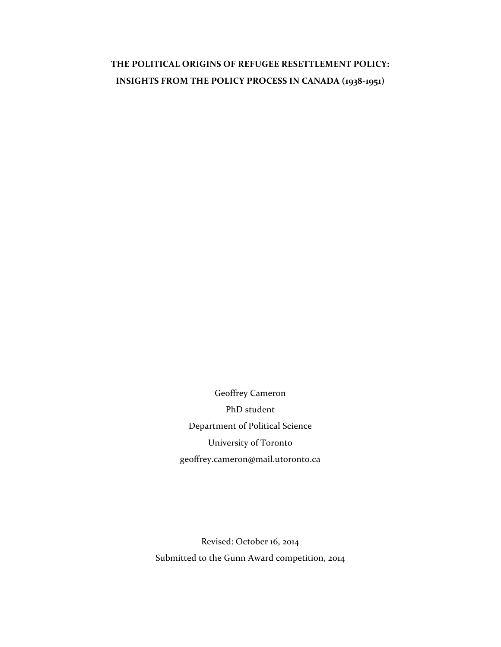# THE POLITICAL ORIGINS OF REFUGEE RESETTLEMENT POLICY: **INSIGHTS FROM THE POLICY PROCESS IN CANADA (1938-1951)**

Geoffrey Cameron PhD student Department of Political Science University of Toronto geoffrey.cameron@mail.utoronto.ca

Revised: October 16, 2014 Submitted to the Gunn Award competition, 2014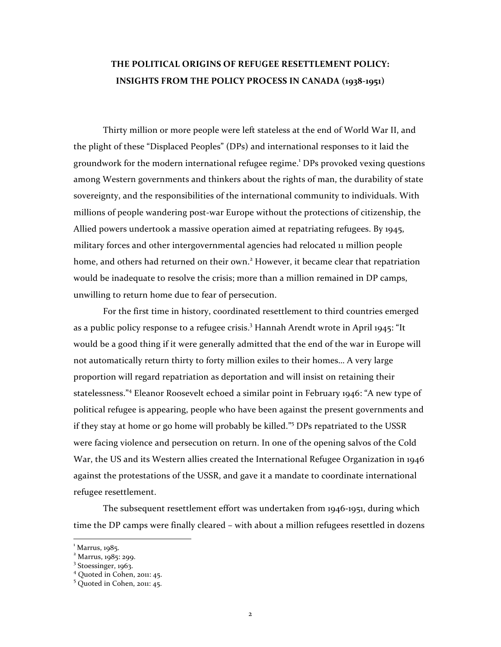## THE POLITICAL ORIGINS OF REFUGEE RESETTLEMENT POLICY: **INSIGHTS FROM THE POLICY PROCESS IN CANADA (1938-1951)**

Thirty million or more people were left stateless at the end of World War II, and the plight of these "Displaced Peoples" (DPs) and international responses to it laid the groundwork for the modern international refugee regime.<sup>1</sup> DPs provoked vexing questions among Western governments and thinkers about the rights of man, the durability of state sovereignty, and the responsibilities of the international community to individuals. With millions of people wandering post-war Europe without the protections of citizenship, the Allied powers undertook a massive operation aimed at repatriating refugees. By 1945, military forces and other intergovernmental agencies had relocated 11 million people home, and others had returned on their own.<sup>2</sup> However, it became clear that repatriation would be inadequate to resolve the crisis; more than a million remained in DP camps, unwilling to return home due to fear of persecution.

For the first time in history, coordinated resettlement to third countries emerged as a public policy response to a refugee crisis.<sup>3</sup> Hannah Arendt wrote in April 1945: "It would be a good thing if it were generally admitted that the end of the war in Europe will not automatically return thirty to forty million exiles to their homes... A very large proportion will regard repatriation as deportation and will insist on retaining their statelessness."<sup>4</sup> Eleanor Roosevelt echoed a similar point in February 1946: "A new type of political refugee is appearing, people who have been against the present governments and if they stay at home or go home will probably be killed."<sup>5</sup> DPs repatriated to the USSR were facing violence and persecution on return. In one of the opening salvos of the Cold War, the US and its Western allies created the International Refugee Organization in  $1946$ against the protestations of the USSR, and gave it a mandate to coordinate international refugee resettlement.

The subsequent resettlement effort was undertaken from  $1946$ -1951, during which time the DP camps were finally cleared – with about a million refugees resettled in dozens

<sup>1</sup> Marrus, 1985.

 $2$  Marrus, 1985: 299.

<sup>&</sup>lt;sup>3</sup> Stoessinger, 1963.

 $4$  Quoted in Cohen, 2011: 45.

 $5$  Quoted in Cohen, 2011: 45.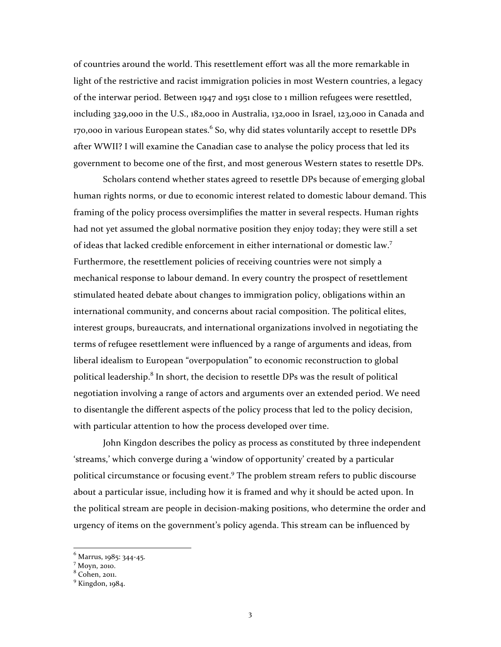of countries around the world. This resettlement effort was all the more remarkable in light of the restrictive and racist immigration policies in most Western countries, a legacy of the interwar period. Between 1947 and 1951 close to 1 million refugees were resettled, including  $329,000$  in the U.S.,  $182,000$  in Australia,  $132,000$  in Israel,  $123,000$  in Canada and 170,000 in various European states. $^6$  So, why did states voluntarily accept to resettle DPs after WWII? I will examine the Canadian case to analyse the policy process that led its government to become one of the first, and most generous Western states to resettle DPs.

Scholars contend whether states agreed to resettle DPs because of emerging global human rights norms, or due to economic interest related to domestic labour demand. This framing of the policy process oversimplifies the matter in several respects. Human rights had not yet assumed the global normative position they enjoy today; they were still a set of ideas that lacked credible enforcement in either international or domestic law.<sup>7</sup> Furthermore, the resettlement policies of receiving countries were not simply a mechanical response to labour demand. In every country the prospect of resettlement stimulated heated debate about changes to immigration policy, obligations within an international community, and concerns about racial composition. The political elites, interest groups, bureaucrats, and international organizations involved in negotiating the terms of refugee resettlement were influenced by a range of arguments and ideas, from liberal idealism to European "overpopulation" to economic reconstruction to global political leadership.<sup>8</sup> In short, the decision to resettle DPs was the result of political negotiation involving a range of actors and arguments over an extended period. We need to disentangle the different aspects of the policy process that led to the policy decision, with particular attention to how the process developed over time.

John Kingdon describes the policy as process as constituted by three independent 'streams,' which converge during a 'window of opportunity' created by a particular political circumstance or focusing event.<sup>9</sup> The problem stream refers to public discourse about a particular issue, including how it is framed and why it should be acted upon. In the political stream are people in decision-making positions, who determine the order and urgency of items on the government's policy agenda. This stream can be influenced by

 $^6$  Marrus, 1985: 344-45.<br><sup>7</sup> Movn, 2010.

 $8$  Cohen, 2011.

 $9$  Kingdon,  $1984$ .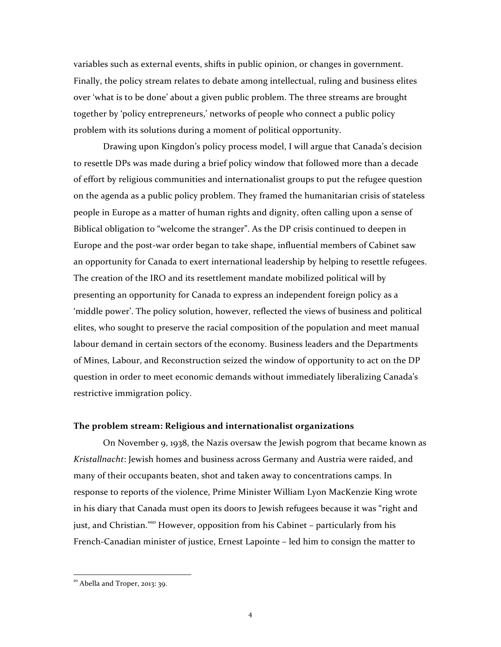variables such as external events, shifts in public opinion, or changes in government. Finally, the policy stream relates to debate among intellectual, ruling and business elites over 'what is to be done' about a given public problem. The three streams are brought together by 'policy entrepreneurs,' networks of people who connect a public policy problem with its solutions during a moment of political opportunity.

Drawing upon Kingdon's policy process model, I will argue that Canada's decision to resettle DPs was made during a brief policy window that followed more than a decade of effort by religious communities and internationalist groups to put the refugee question on the agenda as a public policy problem. They framed the humanitarian crisis of stateless people in Europe as a matter of human rights and dignity, often calling upon a sense of Biblical obligation to "welcome the stranger". As the DP crisis continued to deepen in Europe and the post-war order began to take shape, influential members of Cabinet saw an opportunity for Canada to exert international leadership by helping to resettle refugees. The creation of the IRO and its resettlement mandate mobilized political will by presenting an opportunity for Canada to express an independent foreign policy as a 'middle power'. The policy solution, however, reflected the views of business and political elites, who sought to preserve the racial composition of the population and meet manual labour demand in certain sectors of the economy. Business leaders and the Departments of Mines, Labour, and Reconstruction seized the window of opportunity to act on the DP question in order to meet economic demands without immediately liberalizing Canada's restrictive immigration policy.

### **The problem stream: Religious and internationalist organizations**

On November 9, 1938, the Nazis oversaw the Jewish pogrom that became known as *Kristallnacht*: Jewish homes and business across Germany and Austria were raided, and many of their occupants beaten, shot and taken away to concentrations camps. In response to reports of the violence, Prime Minister William Lyon MacKenzie King wrote in his diary that Canada must open its doors to Jewish refugees because it was "right and just, and Christian."<sup>10</sup> However, opposition from his Cabinet – particularly from his French-Canadian minister of justice, Ernest Lapointe  $-$  led him to consign the matter to

 $10<sup>10</sup>$  Abella and Troper, 2013: 39.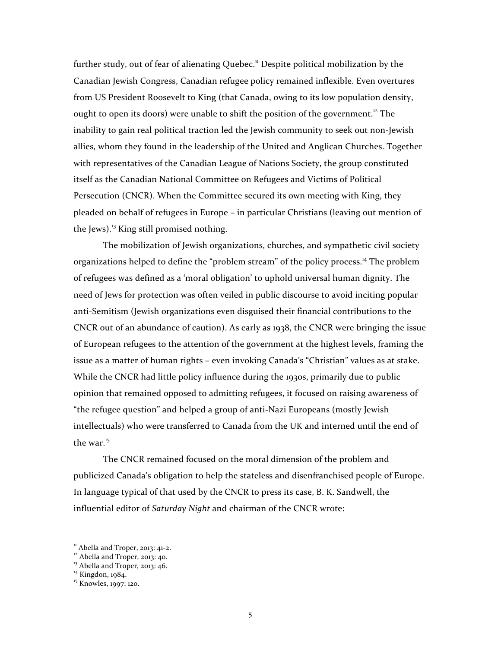further study, out of fear of alienating Quebec.<sup>11</sup> Despite political mobilization by the Canadian Jewish Congress, Canadian refugee policy remained inflexible. Even overtures from US President Roosevelt to King (that Canada, owing to its low population density, ought to open its doors) were unable to shift the position of the government.<sup>12</sup> The inability to gain real political traction led the Jewish community to seek out non-Jewish allies, whom they found in the leadership of the United and Anglican Churches. Together with representatives of the Canadian League of Nations Society, the group constituted itself as the Canadian National Committee on Refugees and Victims of Political Persecution (CNCR). When the Committee secured its own meeting with King, they pleaded on behalf of refugees in Europe – in particular Christians (leaving out mention of the Jews). $^{13}$  King still promised nothing.

The mobilization of Jewish organizations, churches, and sympathetic civil society organizations helped to define the "problem stream" of the policy process.<sup>14</sup> The problem of refugees was defined as a 'moral obligation' to uphold universal human dignity. The need of Jews for protection was often veiled in public discourse to avoid inciting popular anti-Semitism (Jewish organizations even disguised their financial contributions to the CNCR out of an abundance of caution). As early as  $1938$ , the CNCR were bringing the issue of European refugees to the attention of the government at the highest levels, framing the issue as a matter of human rights – even invoking Canada's "Christian" values as at stake. While the CNCR had little policy influence during the 1930s, primarily due to public opinion that remained opposed to admitting refugees, it focused on raising awareness of "the refugee question" and helped a group of anti-Nazi Europeans (mostly Jewish intellectuals) who were transferred to Canada from the UK and interned until the end of the war.<sup>15</sup>

The CNCR remained focused on the moral dimension of the problem and publicized Canada's obligation to help the stateless and disenfranchised people of Europe. In language typical of that used by the CNCR to press its case, B. K. Sandwell, the influential editor of *Saturday Night* and chairman of the CNCR wrote:

<sup>&</sup>lt;sup>11</sup> Abella and Troper, 2013: 41-2.<br><sup>12</sup> Abella and Troper, 2013: 40.<br><sup>13</sup> Abella and Troper, 2013: 46.<br><sup>14</sup> Kingdon, 1984. <sup>15</sup> Knowles, 1997: 120.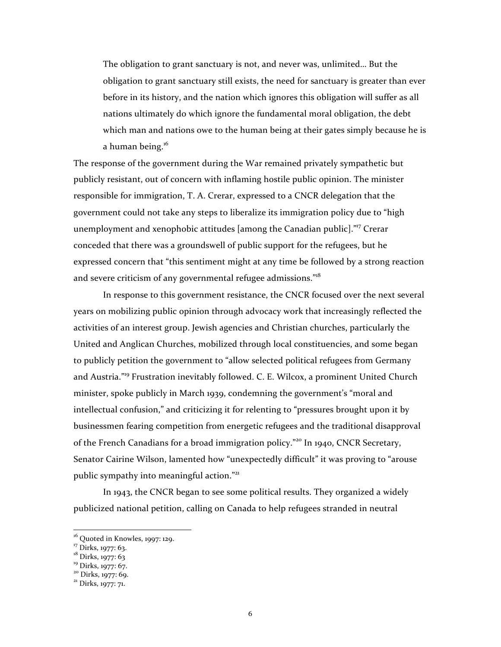The obligation to grant sanctuary is not, and never was, unlimited... But the obligation to grant sanctuary still exists, the need for sanctuary is greater than ever before in its history, and the nation which ignores this obligation will suffer as all nations ultimately do which ignore the fundamental moral obligation, the debt which man and nations owe to the human being at their gates simply because he is a human being.<sup>16</sup>

The response of the government during the War remained privately sympathetic but publicly resistant, out of concern with inflaming hostile public opinion. The minister responsible for immigration, T. A. Crerar, expressed to a CNCR delegation that the government could not take any steps to liberalize its immigration policy due to "high unemployment and xenophobic attitudes [among the Canadian public]."<sup>17</sup> Crerar conceded that there was a groundswell of public support for the refugees, but he expressed concern that "this sentiment might at any time be followed by a strong reaction and severe criticism of any governmental refugee admissions."<sup>18</sup>

In response to this government resistance, the CNCR focused over the next several years on mobilizing public opinion through advocacy work that increasingly reflected the activities of an interest group. Jewish agencies and Christian churches, particularly the United and Anglican Churches, mobilized through local constituencies, and some began to publicly petition the government to "allow selected political refugees from Germany and Austria."<sup>19</sup> Frustration inevitably followed. C. E. Wilcox, a prominent United Church minister, spoke publicly in March 1939, condemning the government's "moral and intellectual confusion," and criticizing it for relenting to "pressures brought upon it by businessmen fearing competition from energetic refugees and the traditional disapproval of the French Canadians for a broad immigration policy."<sup>20</sup> In 1940, CNCR Secretary, Senator Cairine Wilson, lamented how "unexpectedly difficult" it was proving to "arouse public sympathy into meaningful action."<sup>21</sup>

In 1943, the CNCR began to see some political results. They organized a widely publicized national petition, calling on Canada to help refugees stranded in neutral

<sup>&</sup>lt;sup>16</sup> Quoted in Knowles, 1997: 129.<br><sup>17</sup> Dirks, 1977: 63.<br><sup>18</sup> Dirks, 1977: 63<br><sup>19</sup> Dirks, 1977: 67.<br><sup>20</sup> Dirks, 1977: 69.<br><sup>21</sup> Dirks, 1977: 71.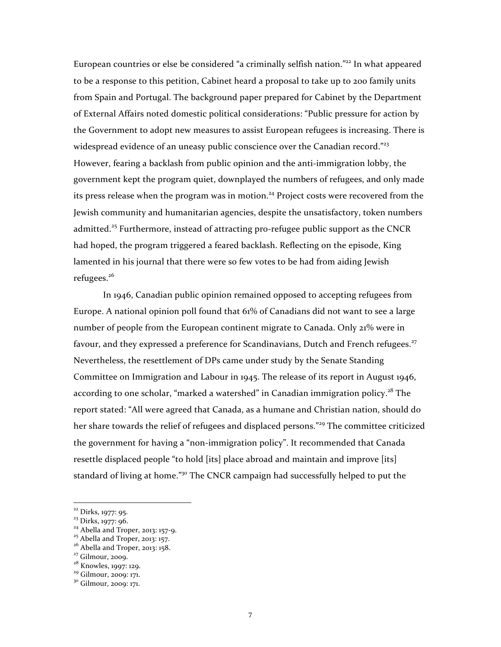European countries or else be considered "a criminally selfish nation."<sup>22</sup> In what appeared to be a response to this petition, Cabinet heard a proposal to take up to 200 family units from Spain and Portugal. The background paper prepared for Cabinet by the Department of External Affairs noted domestic political considerations: "Public pressure for action by the Government to adopt new measures to assist European refugees is increasing. There is widespread evidence of an uneasy public conscience over the Canadian record."<sup>23</sup> However, fearing a backlash from public opinion and the anti-immigration lobby, the government kept the program quiet, downplayed the numbers of refugees, and only made its press release when the program was in motion.<sup>24</sup> Project costs were recovered from the Jewish community and humanitarian agencies, despite the unsatisfactory, token numbers admitted.<sup>25</sup> Furthermore, instead of attracting pro-refugee public support as the CNCR had hoped, the program triggered a feared backlash. Reflecting on the episode, King lamented in his journal that there were so few votes to be had from aiding Jewish refugees.<sup>26</sup>

In 1946, Canadian public opinion remained opposed to accepting refugees from Europe. A national opinion poll found that  $61\%$  of Canadians did not want to see a large number of people from the European continent migrate to Canada. Only 21% were in favour, and they expressed a preference for Scandinavians, Dutch and French refugees.<sup>27</sup> Nevertheless, the resettlement of DPs came under study by the Senate Standing Committee on Immigration and Labour in 1945. The release of its report in August 1946, according to one scholar, "marked a watershed" in Canadian immigration policy.<sup>28</sup> The report stated: "All were agreed that Canada, as a humane and Christian nation, should do her share towards the relief of refugees and displaced persons."<sup>29</sup> The committee criticized the government for having a "non-immigration policy". It recommended that Canada resettle displaced people "to hold [its] place abroad and maintain and improve [its] standard of living at home."<sup>30</sup> The CNCR campaign had successfully helped to put the

<sup>&</sup>lt;sup>22</sup> Dirks, 1977: 95.<br><sup>23</sup> Dirks, 1977: 96.<br><sup>24</sup> Abella and Troper, 2013: 157-9.<br><sup>25</sup> Abella and Troper, 2013: 157.<br><sup>26</sup> Abella and Troper, 2013: 158.<br><sup>27</sup> Gilmour, 2009.<br><sup>28</sup> Knowles, 1997: 129.<br><sup>29</sup> Gilmour, 2009: 171.<br><sup></sup>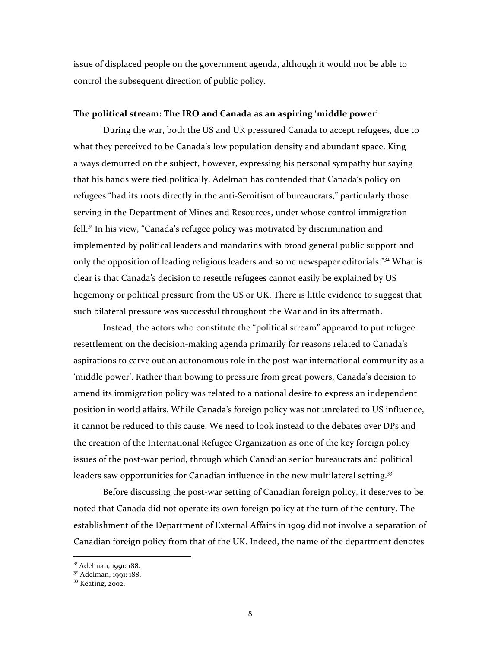issue of displaced people on the government agenda, although it would not be able to control the subsequent direction of public policy.

## The political stream: The IRO and Canada as an aspiring 'middle power'

During the war, both the US and UK pressured Canada to accept refugees, due to what they perceived to be Canada's low population density and abundant space. King always demurred on the subject, however, expressing his personal sympathy but saying that his hands were tied politically. Adelman has contended that Canada's policy on refugees "had its roots directly in the anti-Semitism of bureaucrats," particularly those serving in the Department of Mines and Resources, under whose control immigration fell.<sup>31</sup> In his view, "Canada's refugee policy was motivated by discrimination and implemented by political leaders and mandarins with broad general public support and only the opposition of leading religious leaders and some newspaper editorials."<sup>32</sup> What is clear is that Canada's decision to resettle refugees cannot easily be explained by US hegemony or political pressure from the US or UK. There is little evidence to suggest that such bilateral pressure was successful throughout the War and in its aftermath.

Instead, the actors who constitute the "political stream" appeared to put refugee resettlement on the decision-making agenda primarily for reasons related to Canada's aspirations to carve out an autonomous role in the post-war international community as a 'middle power'. Rather than bowing to pressure from great powers, Canada's decision to amend its immigration policy was related to a national desire to express an independent position in world affairs. While Canada's foreign policy was not unrelated to US influence, it cannot be reduced to this cause. We need to look instead to the debates over DPs and the creation of the International Refugee Organization as one of the key foreign policy issues of the post-war period, through which Canadian senior bureaucrats and political leaders saw opportunities for Canadian influence in the new multilateral setting.<sup>33</sup>

Before discussing the post-war setting of Canadian foreign policy, it deserves to be noted that Canada did not operate its own foreign policy at the turn of the century. The establishment of the Department of External Affairs in 1909 did not involve a separation of Canadian foreign policy from that of the UK. Indeed, the name of the department denotes

 $3<sup>31</sup>$  Adelman, 1991: 188.<br> $3<sup>32</sup>$  Adelman, 1991: 188.<br> $33$  Keating, 2002.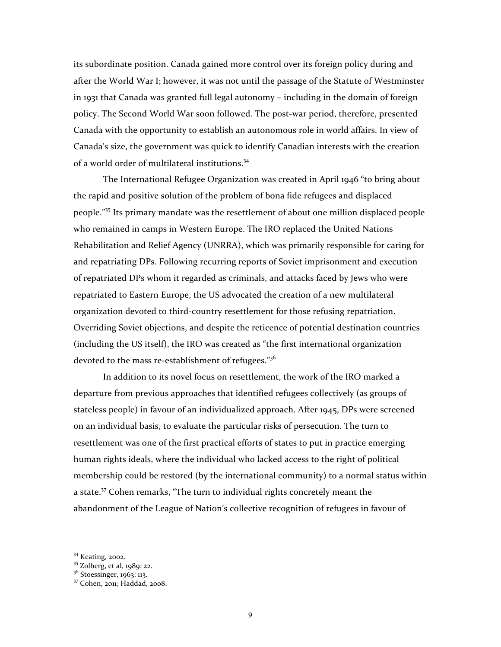its subordinate position. Canada gained more control over its foreign policy during and after the World War I; however, it was not until the passage of the Statute of Westminster in 1931 that Canada was granted full legal autonomy – including in the domain of foreign policy. The Second World War soon followed. The post-war period, therefore, presented Canada with the opportunity to establish an autonomous role in world affairs. In view of Canada's size, the government was quick to identify Canadian interests with the creation of a world order of multilateral institutions.<sup>34</sup>

The International Refugee Organization was created in April 1946 "to bring about the rapid and positive solution of the problem of bona fide refugees and displaced people."<sup>35</sup> Its primary mandate was the resettlement of about one million displaced people who remained in camps in Western Europe. The IRO replaced the United Nations Rehabilitation and Relief Agency (UNRRA), which was primarily responsible for caring for and repatriating DPs. Following recurring reports of Soviet imprisonment and execution of repatriated DPs whom it regarded as criminals, and attacks faced by Jews who were repatriated to Eastern Europe, the US advocated the creation of a new multilateral organization devoted to third-country resettlement for those refusing repatriation. Overriding Soviet objections, and despite the reticence of potential destination countries (including the US itself), the IRO was created as "the first international organization devoted to the mass re-establishment of refugees."<sup>36</sup>

In addition to its novel focus on resettlement, the work of the IRO marked a departure from previous approaches that identified refugees collectively (as groups of stateless people) in favour of an individualized approach. After  $1945$ , DPs were screened on an individual basis, to evaluate the particular risks of persecution. The turn to resettlement was one of the first practical efforts of states to put in practice emerging human rights ideals, where the individual who lacked access to the right of political membership could be restored (by the international community) to a normal status within a state.<sup>37</sup> Cohen remarks, "The turn to individual rights concretely meant the abandonment of the League of Nation's collective recognition of refugees in favour of

<sup>&</sup>lt;sup>34</sup> Keating, 2002.<br><sup>35</sup> Zolberg, et al, 1989: 22.<br><sup>36</sup> Stoessinger, 1963: 113.<br><sup>37</sup> Cohen, 2011; Haddad, 2008.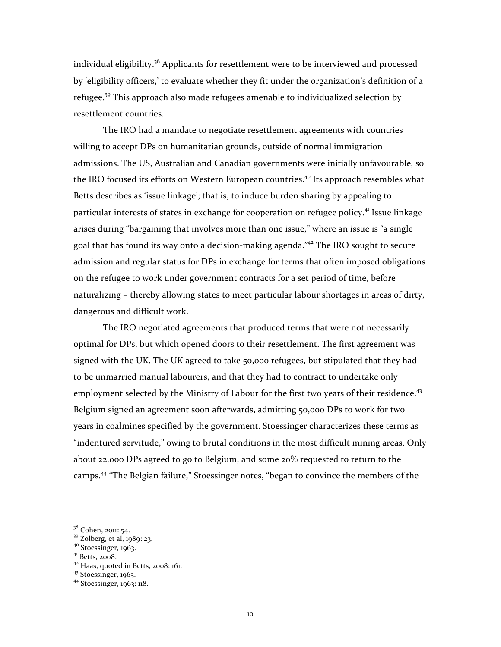individual eligibility.<sup>38</sup> Applicants for resettlement were to be interviewed and processed by 'eligibility officers,' to evaluate whether they fit under the organization's definition of a refugee.<sup>39</sup> This approach also made refugees amenable to individualized selection by resettlement countries.

The IRO had a mandate to negotiate resettlement agreements with countries willing to accept DPs on humanitarian grounds, outside of normal immigration admissions. The US, Australian and Canadian governments were initially unfavourable, so the IRO focused its efforts on Western European countries.<sup>40</sup> Its approach resembles what Betts describes as 'issue linkage'; that is, to induce burden sharing by appealing to particular interests of states in exchange for cooperation on refugee policy.<sup>41</sup> Issue linkage arises during "bargaining that involves more than one issue," where an issue is "a single goal that has found its way onto a decision-making agenda."<sup>42</sup> The IRO sought to secure admission and regular status for DPs in exchange for terms that often imposed obligations on the refugee to work under government contracts for a set period of time, before naturalizing – thereby allowing states to meet particular labour shortages in areas of dirty, dangerous and difficult work.

The IRO negotiated agreements that produced terms that were not necessarily optimal for DPs, but which opened doors to their resettlement. The first agreement was signed with the UK. The UK agreed to take 50,000 refugees, but stipulated that they had to be unmarried manual labourers, and that they had to contract to undertake only employment selected by the Ministry of Labour for the first two years of their residence.<sup>43</sup> Belgium signed an agreement soon afterwards, admitting 50,000 DPs to work for two years in coalmines specified by the government. Stoessinger characterizes these terms as "indentured servitude," owing to brutal conditions in the most difficult mining areas. Only about  $22,000$  DPs agreed to go to Belgium, and some  $20\%$  requested to return to the camps.<sup>44</sup> "The Belgian failure," Stoessinger notes, "began to convince the members of the

<sup>&</sup>lt;sup>38</sup> Cohen, 2011: 54.<br><sup>39</sup> Zolberg, et al, 1989: 23.<br><sup>40</sup> Stoessinger, 1963.<br><sup>41</sup> Haas, quoted in Betts, 2008: 161.<br><sup>43</sup> Stoessinger, 1963.<br><sup>44</sup> Stoessinger, 1963: 118.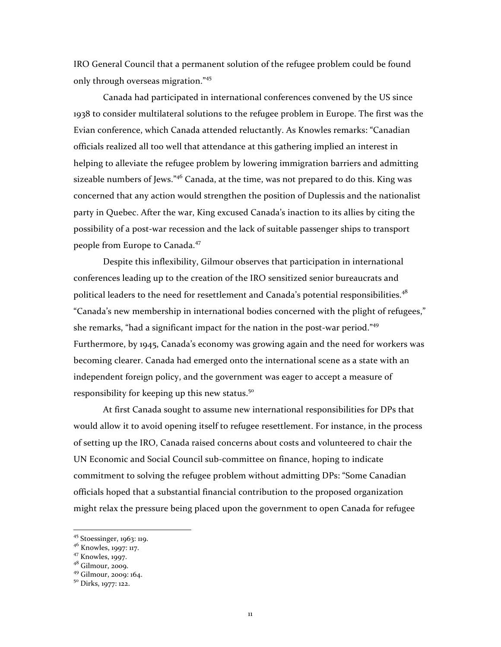IRO General Council that a permanent solution of the refugee problem could be found only through overseas migration."45

Canada had participated in international conferences convened by the US since 1938 to consider multilateral solutions to the refugee problem in Europe. The first was the Evian conference, which Canada attended reluctantly. As Knowles remarks: "Canadian officials realized all too well that attendance at this gathering implied an interest in helping to alleviate the refugee problem by lowering immigration barriers and admitting sizeable numbers of Jews." $46$  Canada, at the time, was not prepared to do this. King was concerned that any action would strengthen the position of Duplessis and the nationalist party in Quebec. After the war, King excused Canada's inaction to its allies by citing the possibility of a post-war recession and the lack of suitable passenger ships to transport people from Europe to Canada.<sup>47</sup>

Despite this inflexibility, Gilmour observes that participation in international conferences leading up to the creation of the IRO sensitized senior bureaucrats and political leaders to the need for resettlement and Canada's potential responsibilities.<sup>48</sup> "Canada's new membership in international bodies concerned with the plight of refugees," she remarks, "had a significant impact for the nation in the post-war period."<sup>49</sup> Furthermore, by 1945, Canada's economy was growing again and the need for workers was becoming clearer. Canada had emerged onto the international scene as a state with an independent foreign policy, and the government was eager to accept a measure of responsibility for keeping up this new status.<sup>50</sup>

At first Canada sought to assume new international responsibilities for DPs that would allow it to avoid opening itself to refugee resettlement. For instance, in the process of setting up the IRO, Canada raised concerns about costs and volunteered to chair the UN Economic and Social Council sub-committee on finance, hoping to indicate commitment to solving the refugee problem without admitting DPs: "Some Canadian officials hoped that a substantial financial contribution to the proposed organization might relax the pressure being placed upon the government to open Canada for refugee

<sup>45</sup> Stoessinger, 1963: 119.

 $46 \nKnowles, 1997: 117.$ <br>  $47 \nKnowles, 1997.$ <br>  $48 \nGilmour, 2009.$ 

<sup>&</sup>lt;sup>49</sup> Gilmour, 2009: 164.<br><sup>50</sup> Dirks, 1977: 122.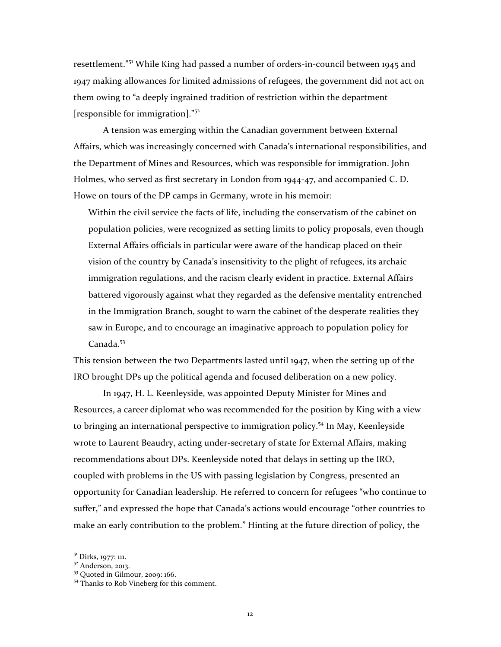resettlement."<sup>51</sup> While King had passed a number of orders-in-council between 1945 and 1947 making allowances for limited admissions of refugees, the government did not act on them owing to "a deeply ingrained tradition of restriction within the department [responsible for immigration]." $52$ 

A tension was emerging within the Canadian government between External Affairs, which was increasingly concerned with Canada's international responsibilities, and the Department of Mines and Resources, which was responsible for immigration. John Holmes, who served as first secretary in London from 1944-47, and accompanied C. D. Howe on tours of the DP camps in Germany, wrote in his memoir:

Within the civil service the facts of life, including the conservatism of the cabinet on population policies, were recognized as setting limits to policy proposals, even though External Affairs officials in particular were aware of the handicap placed on their vision of the country by Canada's insensitivity to the plight of refugees, its archaic immigration regulations, and the racism clearly evident in practice. External Affairs battered vigorously against what they regarded as the defensive mentality entrenched in the Immigration Branch, sought to warn the cabinet of the desperate realities they saw in Europe, and to encourage an imaginative approach to population policy for  $C$ anada  $53$ 

This tension between the two Departments lasted until  $1947$ , when the setting up of the IRO brought DPs up the political agenda and focused deliberation on a new policy.

In 1947, H. L. Keenleyside, was appointed Deputy Minister for Mines and Resources, a career diplomat who was recommended for the position by King with a view to bringing an international perspective to immigration policy.<sup>54</sup> In May, Keenleyside wrote to Laurent Beaudry, acting under-secretary of state for External Affairs, making recommendations about DPs. Keenleyside noted that delays in setting up the IRO, coupled with problems in the US with passing legislation by Congress, presented an opportunity for Canadian leadership. He referred to concern for refugees "who continue to suffer," and expressed the hope that Canada's actions would encourage "other countries to make an early contribution to the problem." Hinting at the future direction of policy, the

<sup>&</sup>lt;sup>51</sup> Dirks, 1977: 111.<br><sup>52</sup> Anderson, 2013.<br><sup>53</sup> Quoted in Gilmour, 2009: 166.<br><sup>54</sup> Thanks to Rob Vineberg for this comment.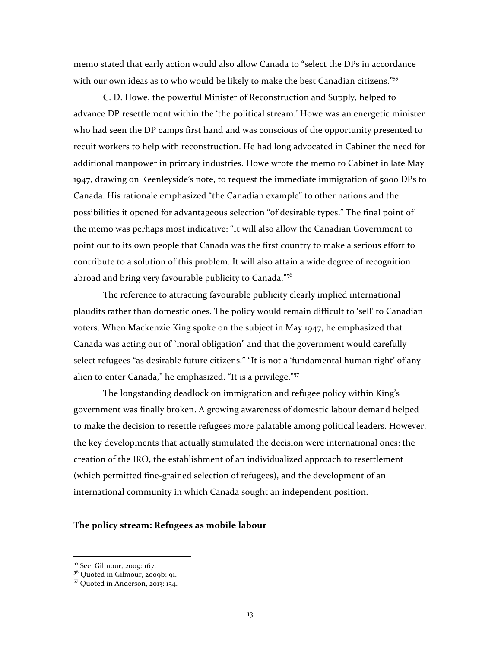memo stated that early action would also allow Canada to "select the DPs in accordance with our own ideas as to who would be likely to make the best Canadian citizens."55

C. D. Howe, the powerful Minister of Reconstruction and Supply, helped to advance DP resettlement within the 'the political stream.' Howe was an energetic minister who had seen the DP camps first hand and was conscious of the opportunity presented to recuit workers to help with reconstruction. He had long advocated in Cabinet the need for additional manpower in primary industries. Howe wrote the memo to Cabinet in late May 1947, drawing on Keenleyside's note, to request the immediate immigration of 5000 DPs to Canada. His rationale emphasized "the Canadian example" to other nations and the possibilities it opened for advantageous selection "of desirable types." The final point of the memo was perhaps most indicative: "It will also allow the Canadian Government to point out to its own people that Canada was the first country to make a serious effort to contribute to a solution of this problem. It will also attain a wide degree of recognition abroad and bring very favourable publicity to Canada." $^{56}$ 

The reference to attracting favourable publicity clearly implied international plaudits rather than domestic ones. The policy would remain difficult to 'sell' to Canadian voters. When Mackenzie King spoke on the subject in May 1947, he emphasized that Canada was acting out of "moral obligation" and that the government would carefully select refugees "as desirable future citizens." "It is not a 'fundamental human right' of any alien to enter Canada," he emphasized. "It is a privilege."<sup>57</sup>

The longstanding deadlock on immigration and refugee policy within King's government was finally broken. A growing awareness of domestic labour demand helped to make the decision to resettle refugees more palatable among political leaders. However, the key developments that actually stimulated the decision were international ones: the creation of the IRO, the establishment of an individualized approach to resettlement (which permitted fine-grained selection of refugees), and the development of an international community in which Canada sought an independent position.

## The policy stream: Refugees as mobile labour

<sup>55</sup> See: Gilmour, 2009: 167.

 $56$  Quoted in Gilmour, 2009b: 91.<br> $57$  Quoted in Anderson, 2013: 134.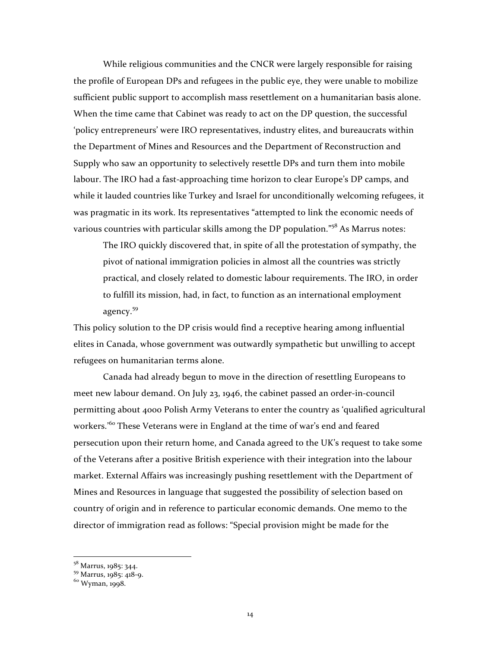While religious communities and the CNCR were largely responsible for raising the profile of European DPs and refugees in the public eye, they were unable to mobilize sufficient public support to accomplish mass resettlement on a humanitarian basis alone. When the time came that Cabinet was ready to act on the DP question, the successful 'policy entrepreneurs' were IRO representatives, industry elites, and bureaucrats within the Department of Mines and Resources and the Department of Reconstruction and Supply who saw an opportunity to selectively resettle DPs and turn them into mobile labour. The IRO had a fast-approaching time horizon to clear Europe's DP camps, and while it lauded countries like Turkey and Israel for unconditionally welcoming refugees, it was pragmatic in its work. Its representatives "attempted to link the economic needs of various countries with particular skills among the DP population."<sup>58</sup> As Marrus notes:

The IRO quickly discovered that, in spite of all the protestation of sympathy, the pivot of national immigration policies in almost all the countries was strictly practical, and closely related to domestic labour requirements. The IRO, in order to fulfill its mission, had, in fact, to function as an international employment agency. 59

This policy solution to the DP crisis would find a receptive hearing among influential elites in Canada, whose government was outwardly sympathetic but unwilling to accept refugees on humanitarian terms alone.

Canada had already begun to move in the direction of resettling Europeans to meet new labour demand. On July 23, 1946, the cabinet passed an order-in-council permitting about 4000 Polish Army Veterans to enter the country as 'qualified agricultural workers.<sup>'60</sup> These Veterans were in England at the time of war's end and feared persecution upon their return home, and Canada agreed to the UK's request to take some of the Veterans after a positive British experience with their integration into the labour market. External Affairs was increasingly pushing resettlement with the Department of Mines and Resources in language that suggested the possibility of selection based on country of origin and in reference to particular economic demands. One memo to the director of immigration read as follows: "Special provision might be made for the

<sup>58</sup> Marrus, 1985: 344.<br><sup>59</sup> Marrus, 1985: 418-9.<br><sup>60</sup> Wyman, 1998.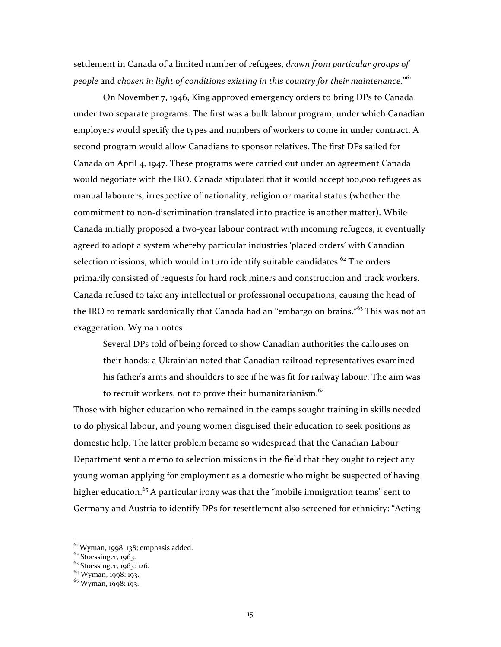settlement in Canada of a limited number of refugees, *drawn from particular groups of* people and chosen in light of conditions existing in this country for their maintenance."<sup>61</sup>

On November 7, 1946, King approved emergency orders to bring DPs to Canada under two separate programs. The first was a bulk labour program, under which Canadian employers would specify the types and numbers of workers to come in under contract. A second program would allow Canadians to sponsor relatives. The first DPs sailed for Canada on April 4, 1947. These programs were carried out under an agreement Canada would negotiate with the IRO. Canada stipulated that it would accept 100,000 refugees as manual labourers, irrespective of nationality, religion or marital status (whether the commitment to non-discrimination translated into practice is another matter). While Canada initially proposed a two-year labour contract with incoming refugees, it eventually agreed to adopt a system whereby particular industries 'placed orders' with Canadian selection missions, which would in turn identify suitable candidates.<sup>62</sup> The orders primarily consisted of requests for hard rock miners and construction and track workers. Canada refused to take any intellectual or professional occupations, causing the head of the IRO to remark sardonically that Canada had an "embargo on brains."<sup>63</sup> This was not an exaggeration. Wyman notes:

Several DPs told of being forced to show Canadian authorities the callouses on their hands; a Ukrainian noted that Canadian railroad representatives examined his father's arms and shoulders to see if he was fit for railway labour. The aim was to recruit workers, not to prove their humanitarianism.<sup>64</sup>

Those with higher education who remained in the camps sought training in skills needed to do physical labour, and young women disguised their education to seek positions as domestic help. The latter problem became so widespread that the Canadian Labour Department sent a memo to selection missions in the field that they ought to reject any young woman applying for employment as a domestic who might be suspected of having higher education.<sup>65</sup> A particular irony was that the "mobile immigration teams" sent to Germany and Austria to identify DPs for resettlement also screened for ethnicity: "Acting

 $61$  Wyman, 1998: 138; emphasis added.<br> $62$  Stoessinger, 1963.

 $63$  Stoessinger, 1963: 126.<br> $64$  Wyman, 1998: 193.

 $65$  Wyman, 1998: 193.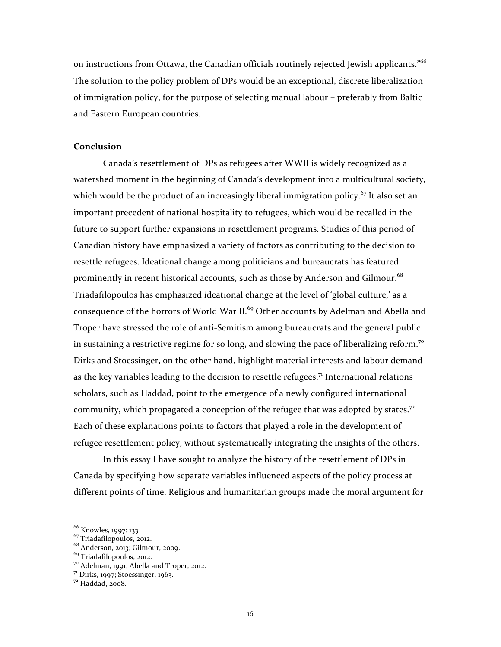on instructions from Ottawa, the Canadian officials routinely rejected Jewish applicants."<sup>66</sup> The solution to the policy problem of DPs would be an exceptional, discrete liberalization of immigration policy, for the purpose of selecting manual labour – preferably from Baltic and Eastern European countries.

### **Conclusion**

Canada's resettlement of DPs as refugees after WWII is widely recognized as a watershed moment in the beginning of Canada's development into a multicultural society, which would be the product of an increasingly liberal immigration policy.<sup>67</sup> It also set an important precedent of national hospitality to refugees, which would be recalled in the future to support further expansions in resettlement programs. Studies of this period of Canadian history have emphasized a variety of factors as contributing to the decision to resettle refugees. Ideational change among politicians and bureaucrats has featured prominently in recent historical accounts, such as those by Anderson and Gilmour.<sup>68</sup> Triadafilopoulos has emphasized ideational change at the level of 'global culture,' as a consequence of the horrors of World War II.<sup>69</sup> Other accounts by Adelman and Abella and Troper have stressed the role of anti-Semitism among bureaucrats and the general public in sustaining a restrictive regime for so long, and slowing the pace of liberalizing reform.<sup>70</sup> Dirks and Stoessinger, on the other hand, highlight material interests and labour demand as the key variables leading to the decision to resettle refugees.<sup>71</sup> International relations scholars, such as Haddad, point to the emergence of a newly configured international community, which propagated a conception of the refugee that was adopted by states.<sup>72</sup> Each of these explanations points to factors that played a role in the development of refugee resettlement policy, without systematically integrating the insights of the others.

In this essay I have sought to analyze the history of the resettlement of DPs in Canada by specifying how separate variables influenced aspects of the policy process at different points of time. Religious and humanitarian groups made the moral argument for

 $^{66}$  Knowles, 1997: 133<br> $^{67}$  Triadafilopoulos, 2012.

 $68$  Anderson, 2013; Gilmour, 2009.<br> $69$  Triadafilopoulos, 2012.

<sup>&</sup>lt;sup>70</sup> Adelman, 1991; Abella and Troper, 2012.<br><sup>71</sup> Dirks, 1997; Stoessinger, 1963.<br><sup>72</sup> Haddad, 2008.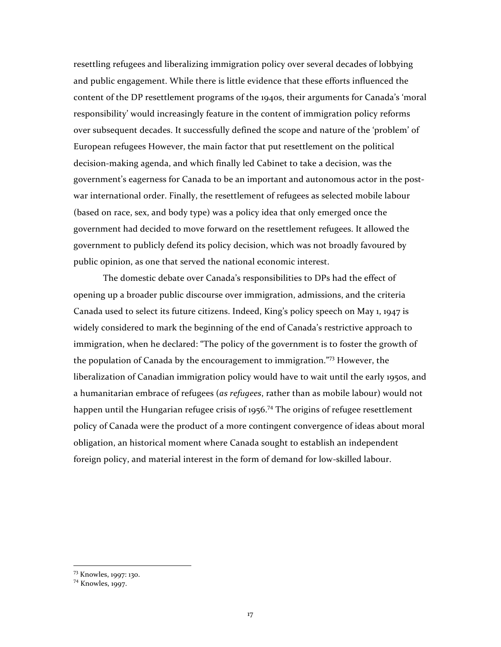resettling refugees and liberalizing immigration policy over several decades of lobbying and public engagement. While there is little evidence that these efforts influenced the content of the DP resettlement programs of the 1940s, their arguments for Canada's 'moral responsibility' would increasingly feature in the content of immigration policy reforms over subsequent decades. It successfully defined the scope and nature of the 'problem' of European refugees However, the main factor that put resettlement on the political decision-making agenda, and which finally led Cabinet to take a decision, was the government's eagerness for Canada to be an important and autonomous actor in the postwar international order. Finally, the resettlement of refugees as selected mobile labour (based on race, sex, and body type) was a policy idea that only emerged once the government had decided to move forward on the resettlement refugees. It allowed the government to publicly defend its policy decision, which was not broadly favoured by public opinion, as one that served the national economic interest.

The domestic debate over Canada's responsibilities to DPs had the effect of opening up a broader public discourse over immigration, admissions, and the criteria Canada used to select its future citizens. Indeed, King's policy speech on May 1, 1947 is widely considered to mark the beginning of the end of Canada's restrictive approach to immigration, when he declared: "The policy of the government is to foster the growth of the population of Canada by the encouragement to immigration."<sup>73</sup> However, the liberalization of Canadian immigration policy would have to wait until the early 1950s, and a humanitarian embrace of refugees (*as refugees*, rather than as mobile labour) would not happen until the Hungarian refugee crisis of 1956.<sup>74</sup> The origins of refugee resettlement policy of Canada were the product of a more contingent convergence of ideas about moral obligation, an historical moment where Canada sought to establish an independent foreign policy, and material interest in the form of demand for low-skilled labour.

<sup>&</sup>lt;sup>73</sup> Knowles, 1997: 130.<br><sup>74</sup> Knowles, 1997.